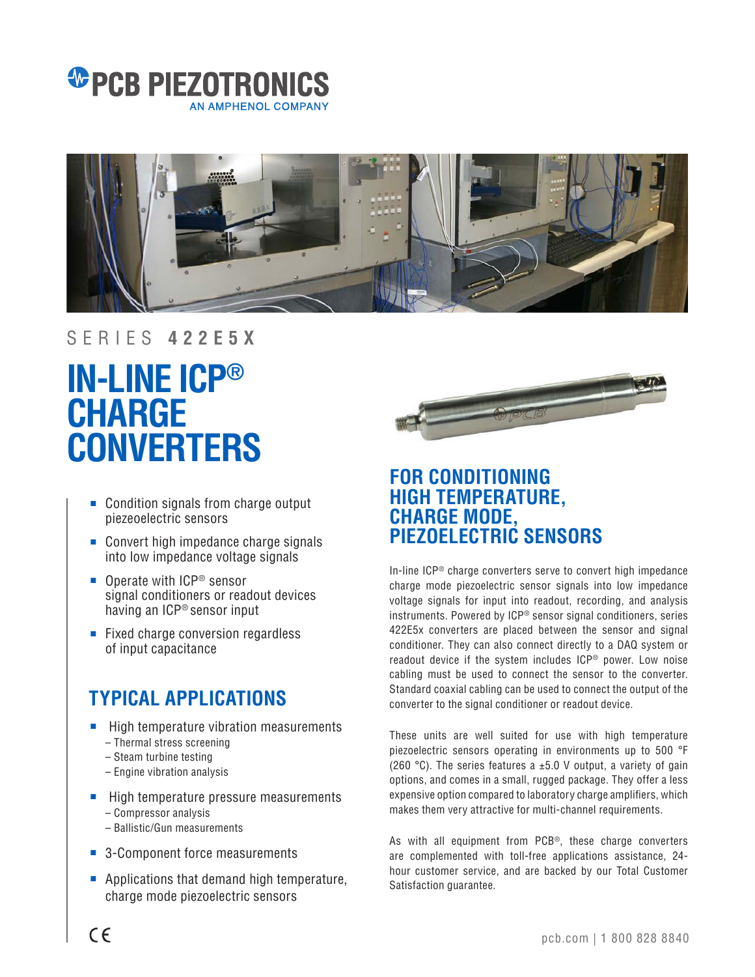



### SERIES **422E5X**

# **IN-LINE ICP® CHARGE CONVERTERS**

- Condition signals from charge output piezeoelectric sensors
- Convert high impedance charge signals into low impedance voltage signals
- Operate with ICP<sup>®</sup> sensor signal conditioners or readout devices having an ICP® sensor input
- Fixed charge conversion regardless of input capacitance

## **TYPICAL APPLICATIONS**

- High temperature vibration measurements – Thermal stress screening
	- Steam turbine testing
	- Engine vibration analysis
- High temperature pressure measurements – Compressor analysis
	- Ballistic/Gun measurements
- 3-Component force measurements
- Applications that demand high temperature, charge mode piezoelectric sensors



## **FOR CONDITIONING HIGH TEMPERATURE, CHARGE MODE, PIEZOELECTRIC SENSORS**

In-line ICP® charge converters serve to convert high impedance charge mode piezoelectric sensor signals into low impedance voltage signals for input into readout, recording, and analysis instruments. Powered by ICP® sensor signal conditioners, series 422E5x converters are placed between the sensor and signal conditioner. They can also connect directly to a DAQ system or readout device if the system includes ICP® power. Low noise cabling must be used to connect the sensor to the converter. Standard coaxial cabling can be used to connect the output of the converter to the signal conditioner or readout device.

These units are well suited for use with high temperature piezoelectric sensors operating in environments up to 500 °F (260 °C). The series features a  $\pm$ 5.0 V output, a variety of gain options, and comes in a small, rugged package. They offer a less expensive option compared to laboratory charge amplifiers, which makes them very attractive for multi-channel requirements.

As with all equipment from PCB®, these charge converters are complemented with toll-free applications assistance, 24 hour customer service, and are backed by our Total Customer Satisfaction guarantee.